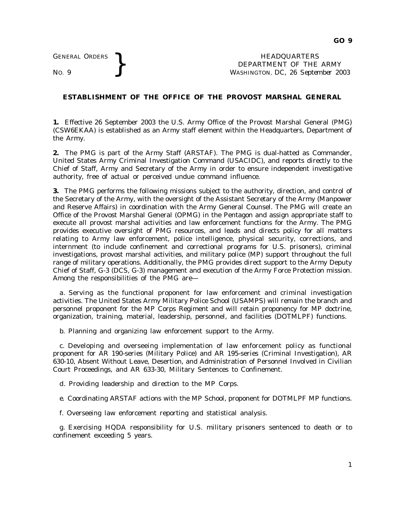GENERAL ORDERS **BEAUGE ARE SERVICE AS A SERVICE OF THE MORE PROPERTY OF THE WASHINGTON, DC, 26 September 1976.** DEPARTMENT OF THE ARMY WASHINGTON, DC, *26 September 2003*

## **ESTABLISHMENT OF THE OFFICE OF THE PROVOST MARSHAL GENERAL**

**1.** Effective 26 September 2003 the U.S. Army Office of the Provost Marshal General (PMG) (CSW6EKAA) is established as an Army staff element within the Headquarters, Department of the Army.

**2.** The PMG is part of the Army Staff (ARSTAF). The PMG is dual-hatted as Commander, United States Army Criminal Investigation Command (USACIDC), and reports directly to the Chief of Staff, Army and Secretary of the Army in order to ensure independent investigative authority, free of actual or perceived undue command influence.

**3.** The PMG performs the following missions subject to the authority, direction, and control of the Secretary of the Army, with the oversight of the Assistant Secretary of the Army (Manpower and Reserve Affairs) in coordination with the Army General Counsel. The PMG will create an Office of the Provost Marshal General (OPMG) in the Pentagon and assign appropriate staff to execute all provost marshal activities and law enforcement functions for the Army. The PMG provides executive oversight of PMG resources, and leads and directs policy for all matters relating to Army law enforcement, police intelligence, physical security, corrections, and internment (to include confinement and correctional programs for U.S. prisoners), criminal investigations, provost marshal activities, and military police (MP) support throughout the full range of military operations. Additionally, the PMG provides direct support to the Army Deputy Chief of Staff, G-3 (DCS, G-3) management and execution of the Army Force Protection mission. Among the responsibilities of the PMG are—

*a*. Serving as the functional proponent for law enforcement and criminal investigation activities. The United States Army Military Police School (USAMPS) will remain the branch and personnel proponent for the MP Corps Regiment and will retain proponency for MP doctrine, organization, training, material, leadership, personnel, and facilities (DOTMLPF) functions.

*b.* Planning and organizing law enforcement support to the Army.

*c.* Developing and overseeing implementation of law enforcement policy as functional proponent for AR 190-series (Military Police) and AR 195-series (Criminal Investigation), AR 630-10, Absent Without Leave, Desertion, and Administration of Personnel Involved in Civilian Court Proceedings, and AR 633-30, Military Sentences to Confinement.

*d.* Providing leadership and direction to the MP Corps.

*e.* Coordinating ARSTAF actions with the MP School, proponent for DOTMLPF MP functions.

*f.* Overseeing law enforcement reporting and statistical analysis.

g. Exercising HQDA responsibility for U.S. military prisoners sentenced to death or to confinement exceeding 5 years.